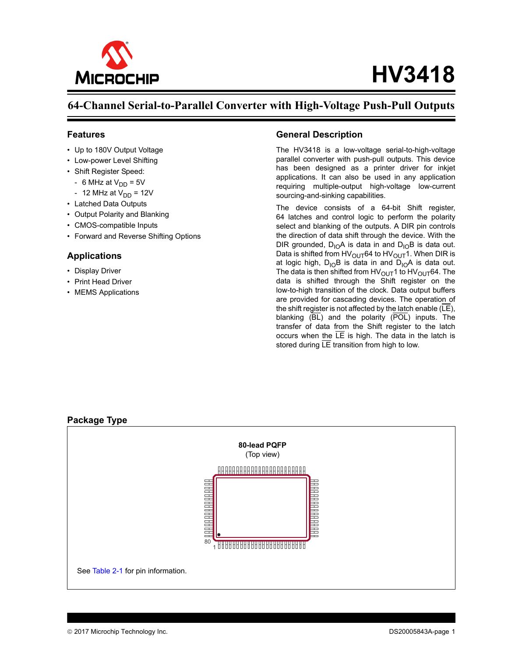

# **HV3418**

# **64-Channel Serial-to-Parallel Converter with High-Voltage Push-Pull Outputs**

#### **Features**

- Up to 180V Output Voltage
- Low-power Level Shifting
- Shift Register Speed:
- 6 MHz at  $V_{DD} = 5V$
- 12 MHz at  $V_{DD} = 12V$
- Latched Data Outputs
- Output Polarity and Blanking
- CMOS-compatible Inputs
- Forward and Reverse Shifting Options

#### **Applications**

- Display Driver
- Print Head Driver
- MEMS Applications

#### **General Description**

The HV3418 is a low-voltage serial-to-high-voltage parallel converter with push-pull outputs. This device has been designed as a printer driver for inkjet applications. It can also be used in any application requiring multiple-output high-voltage low-current sourcing-and-sinking capabilities.

The device consists of a 64-bit Shift register, 64 latches and control logic to perform the polarity select and blanking of the outputs. A DIR pin controls the direction of data shift through the device. With the DIR grounded,  $D_{10}A$  is data in and  $D_{10}B$  is data out. Data is shifted from  $HV_{OUT}$ 64 to HV<sub>OUT</sub>1. When DIR is at logic high,  $D_{10}B$  is data in and  $D_{10}A$  is data out. The data is then shifted from  $HV_{OUT}1$  to  $HV_{OUT}64$ . The data is shifted through the Shift register on the low-to-high transition of the clock. Data output buffers are provided for cascading devices. The operation of the shift register is not affected by the latch enable (LE), blanking  $\overline{(BL)}$  and the polarity  $\overline{(POL)}$  inputs. The transfer of data from the Shift register to the latch occurs when the  $\overline{LE}$  is high. The data in the latch is stored during  $LE$  transition from high to low.

#### <span id="page-0-0"></span>**Package Type**

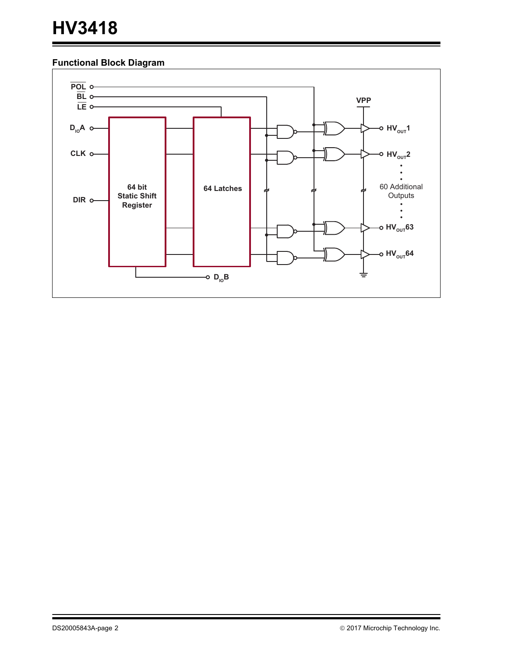# **HV3418**

#### **Functional Block Diagram**

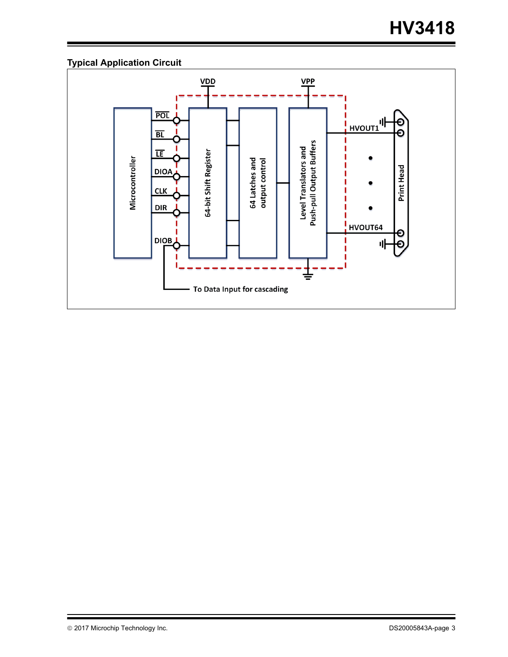# **Typical Application Circuit**

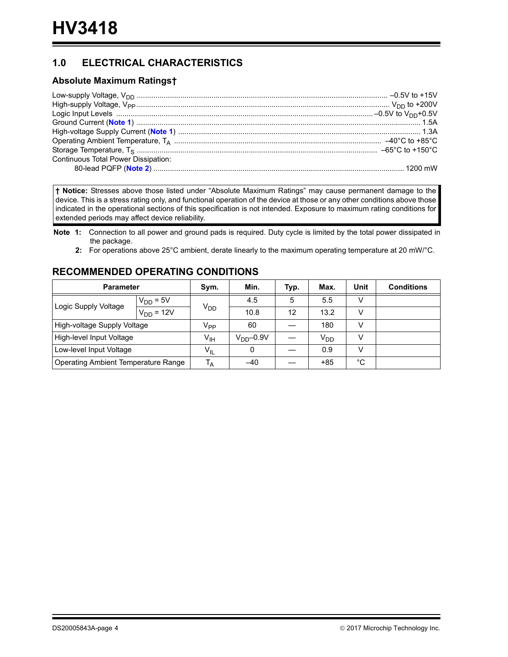# **1.0 ELECTRICAL CHARACTERISTICS**

#### **Absolute Maximum Ratings†**

| Continuous Total Power Dissipation: |  |
|-------------------------------------|--|
|                                     |  |
|                                     |  |

**† Notice:** Stresses above those listed under "Absolute Maximum Ratings" may cause permanent damage to the device. This is a stress rating only, and functional operation of the device at those or any other conditions above those indicated in the operational sections of this specification is not intended. Exposure to maximum rating conditions for extended periods may affect device reliability.

**2:** For operations above 25°C ambient, derate linearly to the maximum operating temperature at 20 mW/°C.

#### **RECOMMENDED OPERATING CONDITIONS**

| <b>Parameter</b>                    | Sym.                    | Min.            | Typ.       | Max.  | Unit            | <b>Conditions</b> |  |
|-------------------------------------|-------------------------|-----------------|------------|-------|-----------------|-------------------|--|
| Logic Supply Voltage                | $V_{DD} = 5V$           | V <sub>DD</sub> | 4.5        | 5     | 5.5             |                   |  |
|                                     | $V_{DD}$ = 12V          |                 | 10.8       | 12    | 13.2            |                   |  |
| High-voltage Supply Voltage         |                         | V <sub>PP</sub> | 60         |       | 180             | v                 |  |
| High-level Input Voltage            |                         | V <sub>IH</sub> | $VDD-0.9V$ |       | V <sub>DD</sub> |                   |  |
| Low-level Input Voltage             |                         | $V_{IL}$        | 0          |       | 0.9             | v                 |  |
| Operating Ambient Temperature Range | $\mathsf{T}_\mathsf{A}$ | $-40$           |            | $+85$ | °C              |                   |  |

<span id="page-3-1"></span><span id="page-3-0"></span>**Note 1:** Connection to all power and ground pads is required. Duty cycle is limited by the total power dissipated in the package.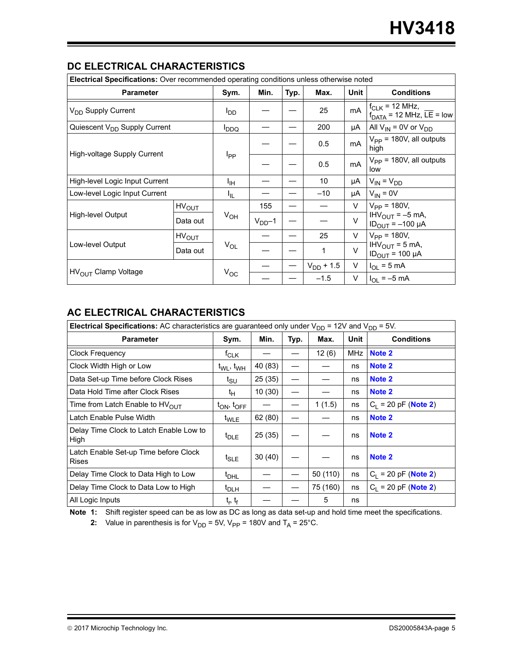# **DC ELECTRICAL CHARACTERISTICS**

| Electrical Specifications: Over recommended operating conditions unless otherwise noted |                   |                 |             |      |                |                                             |                                                              |
|-----------------------------------------------------------------------------------------|-------------------|-----------------|-------------|------|----------------|---------------------------------------------|--------------------------------------------------------------|
| <b>Parameter</b>                                                                        |                   | Sym.            | Min.        | Typ. | Max.           | Unit                                        | <b>Conditions</b>                                            |
| V <sub>DD</sub> Supply Current                                                          |                   | l <sub>DD</sub> |             |      | 25             | mA                                          | $f_{CLK}$ = 12 MHz,<br>$fDATA = 12 MHz, \overline{LE} = low$ |
| Quiescent V <sub>DD</sub> Supply Current                                                |                   | <b>DDQ</b>      |             |      | 200            | μA                                          | All $V_{IN}$ = 0V or $V_{DD}$                                |
|                                                                                         |                   |                 |             | 0.5  | m <sub>A</sub> | $V_{\text{PP}}$ = 180V, all outputs<br>high |                                                              |
| High-voltage Supply Current                                                             | I <sub>PP</sub>   |                 |             | 0.5  | m <sub>A</sub> | $V_{\text{PP}}$ = 180V, all outputs<br>low  |                                                              |
| High-level Logic Input Current                                                          |                   | ŀщ              |             |      | 10             | μA                                          | $V_{IN} = V_{DD}$                                            |
| Low-level Logic Input Current                                                           |                   | ŀμ              |             |      | $-10$          | μA                                          | $V_{IN} = 0V$                                                |
|                                                                                         | $HV_{OUT}$        |                 | 155         |      |                | V                                           | $V_{PP} = 180V,$                                             |
| High-level Output                                                                       | Data out          | $V_{OH}$        | $V_{DD}$ -1 |      |                | V                                           | $IHV_{OUIT} = -5$ mA,<br>$ID_{OUT} = -100 \mu A$             |
|                                                                                         | HV <sub>OUT</sub> |                 |             |      | 25             | V                                           | $V_{\rm PP} = 180V,$                                         |
| Low-level Output<br>Data out                                                            |                   | $V_{OL}$        |             |      | 1              | V                                           | $IHV_{OUT} = 5 mA$ ,<br>$ID_{OUT}$ = 100 µA                  |
| $HV_{OUT}$ Clamp Voltage                                                                |                   |                 |             |      | $V_{DD}$ + 1.5 | V                                           | $I_{OL}$ = 5 mA                                              |
|                                                                                         |                   | $V_{OC}$        |             |      | $-1.5$         | V                                           | $I_{OL} = -5$ mA                                             |

## **AC ELECTRICAL CHARACTERISTICS**

|                                                 | <b>Electrical Specifications:</b> AC characteristics are guaranteed only under $V_{DD}$ = 12V and $V_{DD}$ = 5V. |         |      |          |            |                                 |  |  |  |  |  |  |
|-------------------------------------------------|------------------------------------------------------------------------------------------------------------------|---------|------|----------|------------|---------------------------------|--|--|--|--|--|--|
| <b>Parameter</b>                                | Sym.                                                                                                             | Min.    | Typ. | Max.     | Unit       | <b>Conditions</b>               |  |  |  |  |  |  |
| <b>Clock Frequency</b>                          | $f_{CLK}$                                                                                                        |         |      | 12(6)    | <b>MHz</b> | Note 2                          |  |  |  |  |  |  |
| Clock Width High or Low                         | t <sub>WL</sub> , t <sub>WH</sub>                                                                                | 40 (83) | —    |          | ns         | Note 2                          |  |  |  |  |  |  |
| Data Set-up Time before Clock Rises             | t <sub>SU</sub>                                                                                                  | 25(35)  | —    |          | ns         | Note 2                          |  |  |  |  |  |  |
| Data Hold Time after Clock Rises                | tμ                                                                                                               | 10(30)  |      |          | ns         | Note 2                          |  |  |  |  |  |  |
| Time from Latch Enable to HV <sub>OUT</sub>     | $t_{ON}$ , $t_{OFF}$                                                                                             |         |      | 1(1.5)   | ns         | $C_1 = 20$ pF ( <b>Note 2</b> ) |  |  |  |  |  |  |
| Latch Enable Pulse Width                        | $t_{WLE}$                                                                                                        | 62 (80) |      |          | ns         | Note 2                          |  |  |  |  |  |  |
| Delay Time Clock to Latch Enable Low to<br>High | $t_{\text{DLE}}$                                                                                                 | 25(35)  |      |          | ns         | Note 2                          |  |  |  |  |  |  |
| Latch Enable Set-up Time before Clock<br>Rises  | $t_{SLE}$                                                                                                        | 30(40)  |      |          | ns         | Note 2                          |  |  |  |  |  |  |
| Delay Time Clock to Data High to Low            | $t_{DHL}$                                                                                                        |         |      | 50 (110) | ns         | $C_1 = 20$ pF ( <b>Note 2</b> ) |  |  |  |  |  |  |
| Delay Time Clock to Data Low to High            | t <sub>DLH</sub>                                                                                                 |         |      | 75 (160) | ns         | $C_1 = 20$ pF ( <b>Note 2</b> ) |  |  |  |  |  |  |
| All Logic Inputs                                | $t_{\rm p}$ , $t_{\rm f}$                                                                                        |         |      | 5        | ns         |                                 |  |  |  |  |  |  |

<span id="page-4-0"></span>**Note 1:** Shift register speed can be as low as DC as long as data set-up and hold time meet the specifications.

**2:** Value in parenthesis is for  $V_{DD} = 5V$ ,  $V_{PP} = 180V$  and  $T_A = 25^{\circ}C$ .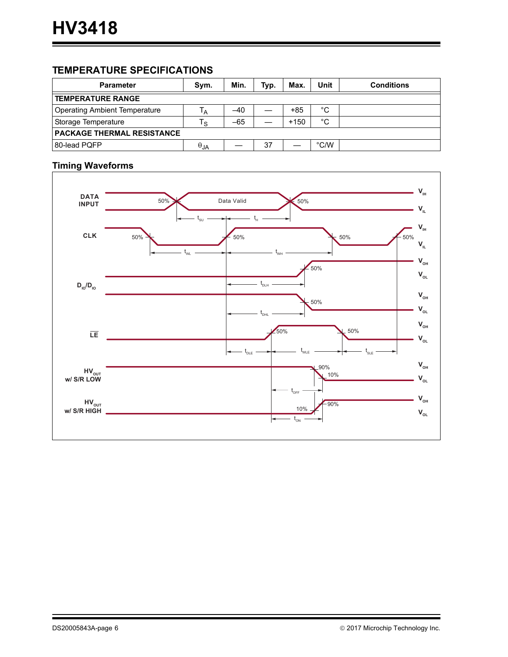# **TEMPERATURE SPECIFICATIONS**

| <b>Parameter</b>                     | Sym.           | Min.  | Typ. | Max.   | Unit | <b>Conditions</b> |
|--------------------------------------|----------------|-------|------|--------|------|-------------------|
| <b>TEMPERATURE RANGE</b>             |                |       |      |        |      |                   |
| <b>Operating Ambient Temperature</b> | $\overline{A}$ | $-40$ |      | +85    | °C   |                   |
| Storage Temperature                  | ۱s             | $-65$ |      | $+150$ | °C   |                   |
| <b>PACKAGE THERMAL RESISTANCE</b>    |                |       |      |        |      |                   |
| 80-lead PQFP                         | $\theta_{JA}$  |       | 37   |        | °C/W |                   |

### **Timing Waveforms**

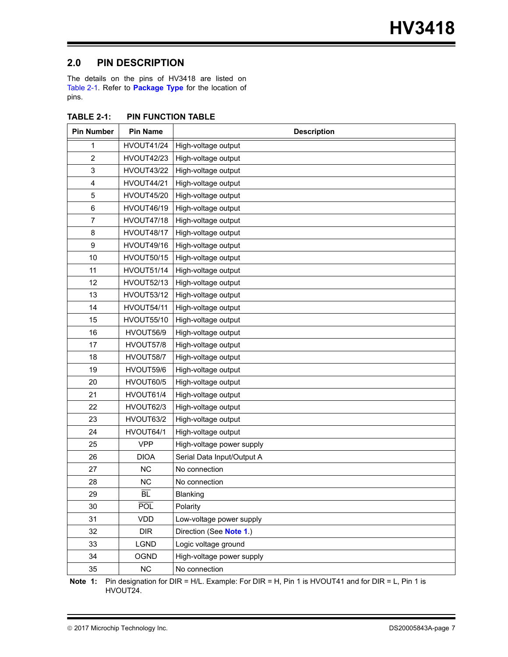#### **2.0 PIN DESCRIPTION**

The details on the pins of HV3418 are listed on [Table](#page-6-0) 2-1. Refer to **[Package Type](#page-0-0)** for the location of pins.

| <b>Pin Number</b> | <b>Pin Name</b>   | <b>Description</b>         |
|-------------------|-------------------|----------------------------|
| 1                 | <b>HVOUT41/24</b> | High-voltage output        |
| 2                 | <b>HVOUT42/23</b> | High-voltage output        |
| 3                 | <b>HVOUT43/22</b> | High-voltage output        |
| 4                 | <b>HVOUT44/21</b> | High-voltage output        |
| 5                 | <b>HVOUT45/20</b> | High-voltage output        |
| 6                 | <b>HVOUT46/19</b> | High-voltage output        |
| $\overline{7}$    | <b>HVOUT47/18</b> | High-voltage output        |
| 8                 | HVOUT48/17        | High-voltage output        |
| 9                 | <b>HVOUT49/16</b> | High-voltage output        |
| 10                | <b>HVOUT50/15</b> | High-voltage output        |
| 11                | HVOUT51/14        | High-voltage output        |
| 12                | <b>HVOUT52/13</b> | High-voltage output        |
| 13                | <b>HVOUT53/12</b> | High-voltage output        |
| 14                | <b>HVOUT54/11</b> | High-voltage output        |
| 15                | <b>HVOUT55/10</b> | High-voltage output        |
| 16                | HVOUT56/9         | High-voltage output        |
| 17                | HVOUT57/8         | High-voltage output        |
| 18                | HVOUT58/7         | High-voltage output        |
| 19                | HVOUT59/6         | High-voltage output        |
| 20                | HVOUT60/5         | High-voltage output        |
| 21                | HVOUT61/4         | High-voltage output        |
| 22                | HVOUT62/3         | High-voltage output        |
| 23                | HVOUT63/2         | High-voltage output        |
| 24                | HVOUT64/1         | High-voltage output        |
| 25                | <b>VPP</b>        | High-voltage power supply  |
| 26                | <b>DIOA</b>       | Serial Data Input/Output A |
| 27                | <b>NC</b>         | No connection              |
| 28                | <b>NC</b>         | No connection              |
| 29                | $\overline{BL}$   | Blanking                   |
| 30                | <b>POL</b>        | Polarity                   |
| 31                | <b>VDD</b>        | Low-voltage power supply   |
| 32                | <b>DIR</b>        | Direction (See Note 1.)    |
| 33                | <b>LGND</b>       | Logic voltage ground       |
| 34                | <b>OGND</b>       | High-voltage power supply  |
| 35                | NC                | No connection              |

<span id="page-6-0"></span>**TABLE 2-1: PIN FUNCTION TABLE**

<span id="page-6-1"></span>**Note 1:** Pin designation for DIR = H/L. Example: For DIR = H, Pin 1 is HVOUT41 and for DIR = L, Pin 1 is HVOUT24.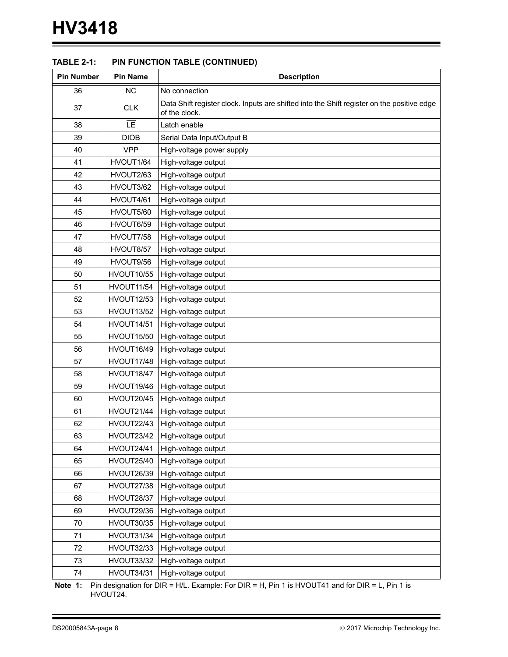| <b>Pin Number</b> | <b>Pin Name</b>   | <b>Description</b>                                                                                          |
|-------------------|-------------------|-------------------------------------------------------------------------------------------------------------|
| 36                | <b>NC</b>         | No connection                                                                                               |
| 37                | <b>CLK</b>        | Data Shift register clock. Inputs are shifted into the Shift register on the positive edge<br>of the clock. |
| 38                | īΕ                | Latch enable                                                                                                |
| 39                | <b>DIOB</b>       | Serial Data Input/Output B                                                                                  |
| 40                | <b>VPP</b>        | High-voltage power supply                                                                                   |
| 41                | HVOUT1/64         | High-voltage output                                                                                         |
| 42                | HVOUT2/63         | High-voltage output                                                                                         |
| 43                | HVOUT3/62         | High-voltage output                                                                                         |
| 44                | HVOUT4/61         | High-voltage output                                                                                         |
| 45                | HVOUT5/60         | High-voltage output                                                                                         |
| 46                | HVOUT6/59         | High-voltage output                                                                                         |
| 47                | HVOUT7/58         | High-voltage output                                                                                         |
| 48                | HVOUT8/57         | High-voltage output                                                                                         |
| 49                | HVOUT9/56         | High-voltage output                                                                                         |
| 50                | <b>HVOUT10/55</b> | High-voltage output                                                                                         |
| 51                | HVOUT11/54        | High-voltage output                                                                                         |
| 52                | <b>HVOUT12/53</b> | High-voltage output                                                                                         |
| 53                | <b>HVOUT13/52</b> | High-voltage output                                                                                         |
| 54                | <b>HVOUT14/51</b> | High-voltage output                                                                                         |
| 55                | <b>HVOUT15/50</b> | High-voltage output                                                                                         |
| 56                | HVOUT16/49        | High-voltage output                                                                                         |
| 57                | HVOUT17/48        | High-voltage output                                                                                         |
| 58                | HVOUT18/47        | High-voltage output                                                                                         |
| 59                | HVOUT19/46        | High-voltage output                                                                                         |
| 60                | <b>HVOUT20/45</b> | High-voltage output                                                                                         |
| 61                | HVOUT21/44        | High-voltage output                                                                                         |
| 62                | <b>HVOUT22/43</b> | High-voltage output                                                                                         |
| 63                | HVOUT23/42        | High-voltage output                                                                                         |
| 64                | HVOUT24/41        | High-voltage output                                                                                         |
| 65                | HVOUT25/40        | High-voltage output                                                                                         |
| 66                | HVOUT26/39        | High-voltage output                                                                                         |
| 67                | HVOUT27/38        | High-voltage output                                                                                         |
| 68                | HVOUT28/37        | High-voltage output                                                                                         |
| 69                | HVOUT29/36        | High-voltage output                                                                                         |
| 70                | HVOUT30/35        | High-voltage output                                                                                         |
| 71                | HVOUT31/34        | High-voltage output                                                                                         |
| 72                | HVOUT32/33        | High-voltage output                                                                                         |
| 73                | HVOUT33/32        | High-voltage output                                                                                         |
| 74                | HVOUT34/31        | High-voltage output                                                                                         |

#### **TABLE 2-1: PIN FUNCTION TABLE (CONTINUED)**

**Note 1:** Pin designation for DIR = H/L. Example: For DIR = H, Pin 1 is HVOUT41 and for DIR = L, Pin 1 is HVOUT24.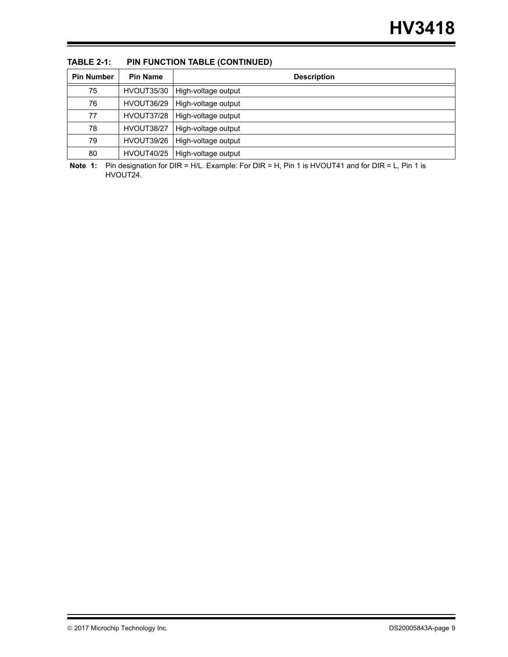| <b>Pin Number</b> | <b>Pin Name</b>   | <b>Description</b>  |
|-------------------|-------------------|---------------------|
| 75                | HVOUT35/30        | High-voltage output |
| 76                | HVOUT36/29        | High-voltage output |
| 77                | HVOUT37/28        | High-voltage output |
| 78                | HVOUT38/27        | High-voltage output |
| 79                | HVOUT39/26        | High-voltage output |
| 80                | <b>HVOUT40/25</b> | High-voltage output |

**TABLE 2-1: PIN FUNCTION TABLE (CONTINUED)**

**Note 1:** Pin designation for DIR = H/L. Example: For DIR = H, Pin 1 is HVOUT41 and for DIR = L, Pin 1 is HVOUT24.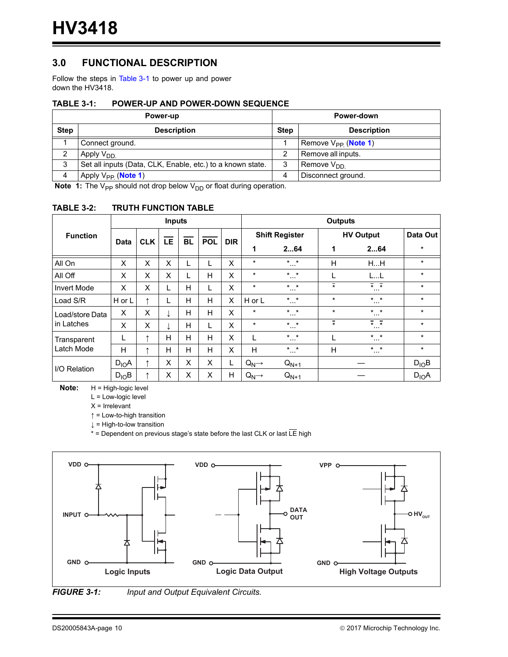# **3.0 FUNCTIONAL DESCRIPTION**

Follow the steps in [Table](#page-9-1) 3-1 to power up and power down the HV3418.

#### <span id="page-9-1"></span>**TABLE 3-1: POWER-UP AND POWER-DOWN SEQUENCE**

|             | Power-up                                                   |             | Power-down                      |
|-------------|------------------------------------------------------------|-------------|---------------------------------|
| <b>Step</b> | <b>Description</b>                                         | <b>Step</b> | <b>Description</b>              |
|             | Connect ground.                                            |             | Remove V <sub>PP</sub> (Note 1) |
| ◠<br>∠      | Apply V <sub>DD.</sub>                                     |             | Remove all inputs.              |
| 3           | Set all inputs (Data, CLK, Enable, etc.) to a known state. |             | Remove V <sub>DD</sub>          |
| 4           | Apply V <sub>PP</sub> (Note 1)                             | 4           | Disconnect ground.              |

<span id="page-9-0"></span>**Note 1:** The V<sub>PP</sub> should not drop below V<sub>DD</sub> or float during operation.

#### **TABLE 3-2: TRUTH FUNCTION TABLE**

|                     |             |            | <b>Inputs</b> |           |            |            | <b>Outputs</b>    |                                         |                        |                               |           |  |
|---------------------|-------------|------------|---------------|-----------|------------|------------|-------------------|-----------------------------------------|------------------------|-------------------------------|-----------|--|
| <b>Function</b>     |             | <b>CLK</b> | LE            | <b>BL</b> | <b>POL</b> | <b>DIR</b> |                   | <b>Shift Register</b>                   | <b>HV Output</b>       | Data Out                      |           |  |
|                     | <b>Data</b> |            |               |           |            |            | 1                 | 264                                     | 1                      | 264                           | $\star$   |  |
| All On              | X           | X          | X             | L         | L          | X          | $\star$           | $*$ *<br>$\cdots$                       | H                      | HH                            | $\star$   |  |
| All Off             | X           | X          | X             | L         | Н          | X          | $^\star$          | $*$ *<br>$\cdots$                       |                        | L…L                           | $\star$   |  |
| <b>Invert Mode</b>  | X           | X          | L             | H         | L          | X          | $\star$           | $\star$ $\star$<br>$\cdots$             | $\overline{\ast}$      | $\star$ $\star$<br>$\cdots$   | $\star$   |  |
| Load S/R            | H or L      | ↑          | L             | н         | Н          | X          | H or L            | $*$ $*$<br>$\cdots$                     | $^\star$               | $*$ *<br>$\cdots$             | $\star$   |  |
| Load/store Data     | X           | X          | ↓             | н         | Н          | X          | $^\star$          | $*$ *<br>$\cdots$                       | $\star$                | $*$ *<br>$\cdots$             | $\star$   |  |
| in Latches          | X           | X          | ↓             | H         | L          | X          | $^\star$          | $\star$ $\star$<br>$\cdots$             | $\overline{\ast}$      | $\star$ $\star$<br>$\cdots$   | $\star$   |  |
| Transparent         |             | ↑          | H             | Н         | Н          | X          |                   | $\star$ $\star$<br>$\cdots$             |                        | $*$ *<br>$\sim$ $\sim$ $\sim$ | $\star$   |  |
| Latch Mode          | H           | ᠰ          | H             | н         | Н          | X          | H                 | $\star$ $\star$<br>$\sim$ $\sim$ $\sim$ | $*$ *<br>H<br>$\cdots$ |                               | $\star$   |  |
| <b>I/O Relation</b> | $D_{IO}A$   | ↑          | X             | X         | X          | L          | $Q_N \rightarrow$ | $Q_{N+1}$                               |                        |                               | $D_{IO}B$ |  |
|                     | $D_{IO}B$   | ↑          | X             | X         | X          | Н          | $Q_N \rightarrow$ | $Q_{N+1}$                               |                        |                               | $D_{IO}A$ |  |

**Note:** H = High-logic level

L = Low-logic level

X = Irrelevant

↑ = Low-to-high transition

↓ = High-to-low transition

 $*$  = Dependent on previous stage's state before the last CLK or last  $\overline{\mathsf{LE}}$  high



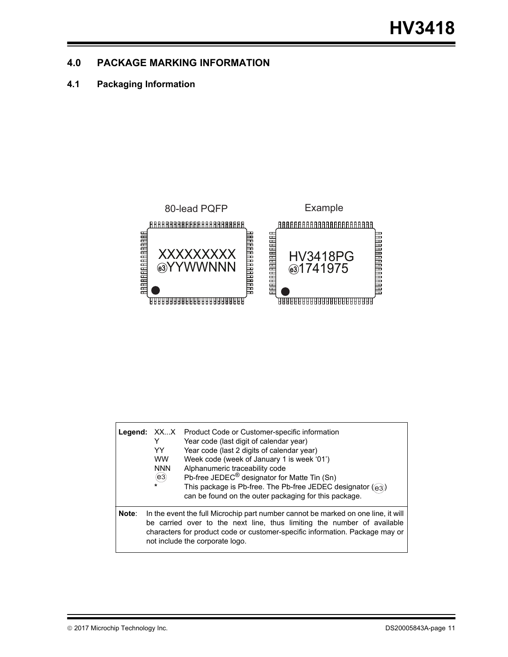#### **4.0 PACKAGE MARKING INFORMATION**

**4.1 Packaging Information**



|       | Legend: XXX<br>Y<br>YY<br><b>WW</b><br><b>NNN</b><br>(e3)<br>$\star$ | Product Code or Customer-specific information<br>Year code (last digit of calendar year)<br>Year code (last 2 digits of calendar year)<br>Week code (week of January 1 is week '01')<br>Alphanumeric traceability code<br>Pb-free JEDEC <sup>®</sup> designator for Matte Tin (Sn)<br>This package is Pb-free. The Pb-free JEDEC designator (e3)<br>can be found on the outer packaging for this package. |
|-------|----------------------------------------------------------------------|-----------------------------------------------------------------------------------------------------------------------------------------------------------------------------------------------------------------------------------------------------------------------------------------------------------------------------------------------------------------------------------------------------------|
| Note: |                                                                      | In the event the full Microchip part number cannot be marked on one line, it will<br>be carried over to the next line, thus limiting the number of available<br>characters for product code or customer-specific information. Package may or<br>not include the corporate logo.                                                                                                                           |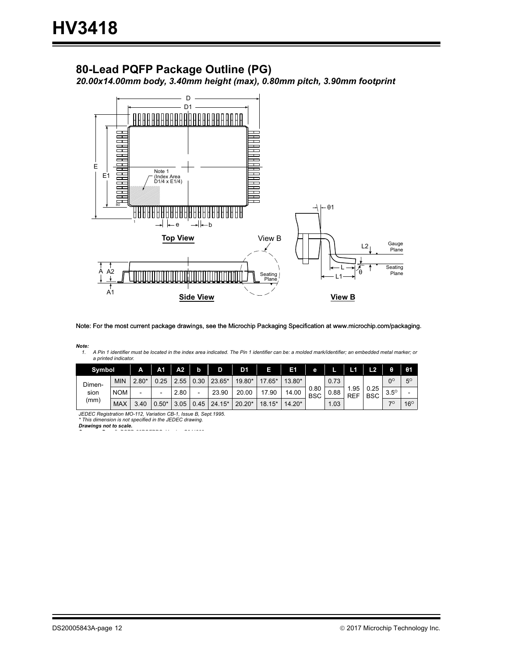# **80-Lead PQFP Package Outline (PG)**

*20.00x14.00mm body, 3.40mm height (max), 0.80mm pitch, 3.90mm footprint*



Note: For the most current package drawings, see the Microchip Packaging Specification at www.microchip.com/packaging.

*Note:*

1. A Pin 1 identifier must be located in the index area indicated. The Pin 1 identifier can be: a molded mark/identifier; an embedded metal marker; or *a printed indicator.*

| <b>Symbol</b> |            | A       | A1                       | A2   |      | D             | D1       | п        | E        | е                  | -    | L1                 | ני ו               |             | $\theta$ 1 |
|---------------|------------|---------|--------------------------|------|------|---------------|----------|----------|----------|--------------------|------|--------------------|--------------------|-------------|------------|
| Dimen-        | <b>MIN</b> | $2.80*$ | 0.25                     | 2.55 | 0.30 | 23.65*        | 19.80*   | 17.65*   | 13.80*   |                    | 0.73 |                    |                    | $0^{\circ}$ | $5^\circ$  |
| sion          | <b>NOM</b> | -       | $\overline{\phantom{a}}$ | 2.80 | -    | 23.90         | 20.00    | 17.90    | 14.00    | 0.80<br><b>BSC</b> | 0.88 | 1.95<br><b>REF</b> | 0.25<br><b>BSC</b> | $3.5^\circ$ |            |
| (mm)          | <b>MAX</b> | 3.40    | $0.50*$                  | 3.05 | 0.45 | $.15*$<br>24. | $20.20*$ | $18.15*$ | $14.20*$ |                    | 1.03 |                    |                    | 7C          | $16^\circ$ |

*JEDEC Registration MO-112, Variation CB-1, Issue B, Sept.1995.*<br>\* This dimension is not specified in the JEDEC drawing.

*Drawings not to scale.*<br>*S*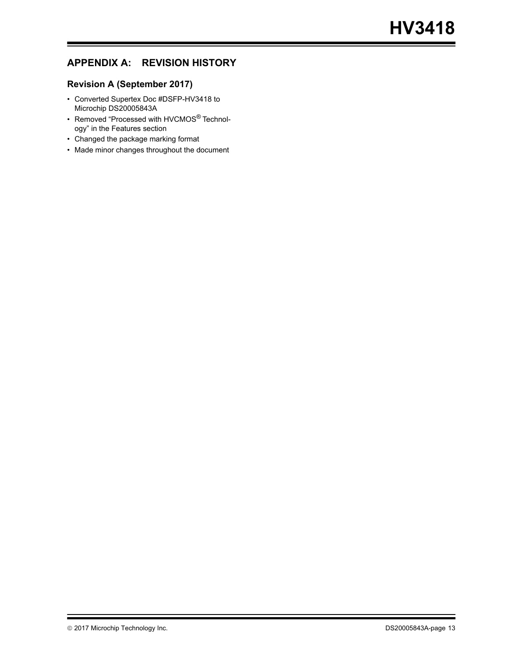# **APPENDIX A: REVISION HISTORY**

#### **Revision A (September 2017)**

- Converted Supertex Doc #DSFP-HV3418 to Microchip DS20005843A
- Removed "Processed with HVCMOS® Technology" in the Features section
- Changed the package marking format
- Made minor changes throughout the document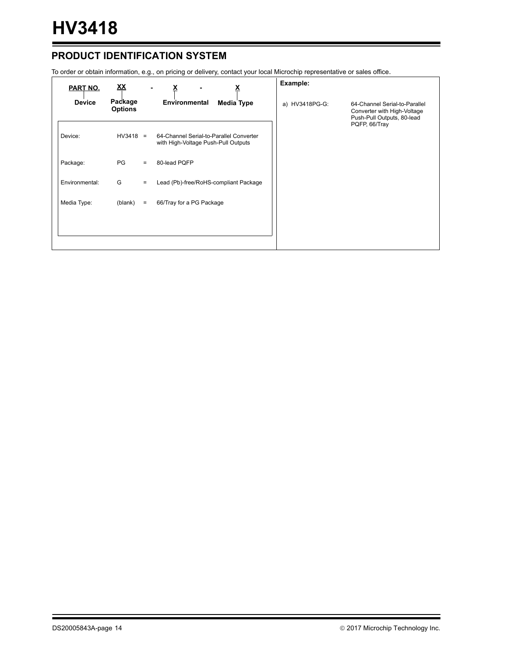# **PRODUCT IDENTIFICATION SYSTEM**

To order or obtain information, e.g., on pricing or delivery, contact your local Microchip representative or sales office.

| <b>PART NO.</b> | <u>XX</u>                 |          |                                                                                | Example:                                                                                                     |  |
|-----------------|---------------------------|----------|--------------------------------------------------------------------------------|--------------------------------------------------------------------------------------------------------------|--|
| <b>Device</b>   | Package<br><b>Options</b> |          | Environmental<br><b>Media Type</b>                                             | a) HV3418PG-G:<br>64-Channel Serial-to-Parallel<br>Converter with High-Voltage<br>Push-Pull Outputs, 80-lead |  |
| Device:         | $HV3418 =$                |          | 64-Channel Serial-to-Parallel Converter<br>with High-Voltage Push-Pull Outputs | PQFP, 66/Tray                                                                                                |  |
| Package:        | PG                        | $=$      | 80-lead PQFP                                                                   |                                                                                                              |  |
| Environmental:  | G                         | $=$      | Lead (Pb)-free/RoHS-compliant Package                                          |                                                                                                              |  |
| Media Type:     | (blank)                   | $\equiv$ | 66/Tray for a PG Package                                                       |                                                                                                              |  |
|                 |                           |          |                                                                                |                                                                                                              |  |
|                 |                           |          |                                                                                |                                                                                                              |  |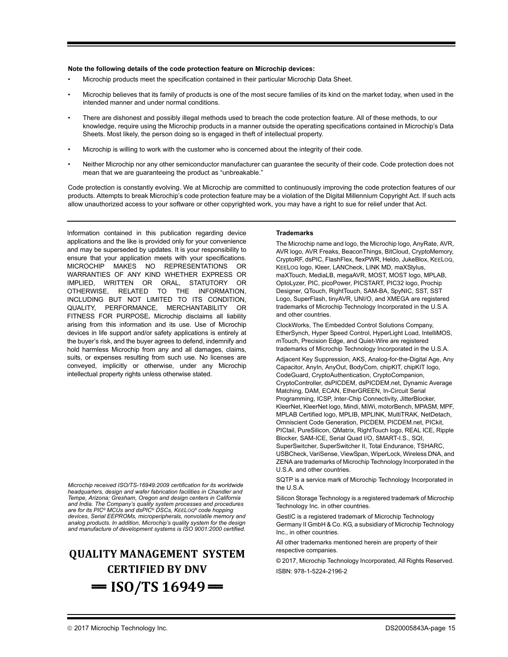#### **Note the following details of the code protection feature on Microchip devices:**

- Microchip products meet the specification contained in their particular Microchip Data Sheet.
- Microchip believes that its family of products is one of the most secure families of its kind on the market today, when used in the intended manner and under normal conditions.
- There are dishonest and possibly illegal methods used to breach the code protection feature. All of these methods, to our knowledge, require using the Microchip products in a manner outside the operating specifications contained in Microchip's Data Sheets. Most likely, the person doing so is engaged in theft of intellectual property.
- Microchip is willing to work with the customer who is concerned about the integrity of their code.
- Neither Microchip nor any other semiconductor manufacturer can guarantee the security of their code. Code protection does not mean that we are guaranteeing the product as "unbreakable."

Code protection is constantly evolving. We at Microchip are committed to continuously improving the code protection features of our products. Attempts to break Microchip's code protection feature may be a violation of the Digital Millennium Copyright Act. If such acts allow unauthorized access to your software or other copyrighted work, you may have a right to sue for relief under that Act.

Information contained in this publication regarding device applications and the like is provided only for your convenience and may be superseded by updates. It is your responsibility to ensure that your application meets with your specifications. MICROCHIP MAKES NO REPRESENTATIONS OR WARRANTIES OF ANY KIND WHETHER EXPRESS OR IMPLIED, WRITTEN OR ORAL, STATUTORY OR OTHERWISE, RELATED TO THE INFORMATION, INCLUDING BUT NOT LIMITED TO ITS CONDITION, QUALITY, PERFORMANCE, MERCHANTABILITY OR FITNESS FOR PURPOSE**.** Microchip disclaims all liability arising from this information and its use. Use of Microchip devices in life support and/or safety applications is entirely at the buyer's risk, and the buyer agrees to defend, indemnify and hold harmless Microchip from any and all damages, claims, suits, or expenses resulting from such use. No licenses are conveyed, implicitly or otherwise, under any Microchip intellectual property rights unless otherwise stated.

*Microchip received ISO/TS-16949:2009 certification for its worldwide headquarters, design and wafer fabrication facilities in Chandler and Tempe, Arizona; Gresham, Oregon and design centers in California and India. The Company's quality system processes and procedures are for its PIC® MCUs and dsPIC® DSCs, KEELOQ® code hopping devices, Serial EEPROMs, microperipherals, nonvolatile memory and analog products. In addition, Microchip's quality system for the design and manufacture of development systems is ISO 9001:2000 certified.*

# **QUALITY MANAGEMENT SYSTEM CERTIFIED BY DNV**  $=$  **ISO/TS** 16949 $=$

#### **Trademarks**

The Microchip name and logo, the Microchip logo, AnyRate, AVR, AVR logo, AVR Freaks, BeaconThings, BitCloud, CryptoMemory, CryptoRF, dsPIC, FlashFlex, flexPWR, Heldo, JukeBlox, KEELOQ, KEELOQ logo, Kleer, LANCheck, LINK MD, maXStylus, maXTouch, MediaLB, megaAVR, MOST, MOST logo, MPLAB, OptoLyzer, PIC, picoPower, PICSTART, PIC32 logo, Prochip Designer, QTouch, RightTouch, SAM-BA, SpyNIC, SST, SST Logo, SuperFlash, tinyAVR, UNI/O, and XMEGA are registered trademarks of Microchip Technology Incorporated in the U.S.A. and other countries.

ClockWorks, The Embedded Control Solutions Company, EtherSynch, Hyper Speed Control, HyperLight Load, IntelliMOS, mTouch, Precision Edge, and Quiet-Wire are registered trademarks of Microchip Technology Incorporated in the U.S.A.

Adjacent Key Suppression, AKS, Analog-for-the-Digital Age, Any Capacitor, AnyIn, AnyOut, BodyCom, chipKIT, chipKIT logo, CodeGuard, CryptoAuthentication, CryptoCompanion, CryptoController, dsPICDEM, dsPICDEM.net, Dynamic Average Matching, DAM, ECAN, EtherGREEN, In-Circuit Serial Programming, ICSP, Inter-Chip Connectivity, JitterBlocker, KleerNet, KleerNet logo, Mindi, MiWi, motorBench, MPASM, MPF, MPLAB Certified logo, MPLIB, MPLINK, MultiTRAK, NetDetach, Omniscient Code Generation, PICDEM, PICDEM.net, PICkit, PICtail, PureSilicon, QMatrix, RightTouch logo, REAL ICE, Ripple Blocker, SAM-ICE, Serial Quad I/O, SMART-I.S., SQI, SuperSwitcher, SuperSwitcher II, Total Endurance, TSHARC, USBCheck, VariSense, ViewSpan, WiperLock, Wireless DNA, and ZENA are trademarks of Microchip Technology Incorporated in the U.S.A. and other countries.

SQTP is a service mark of Microchip Technology Incorporated in the U.S.A.

Silicon Storage Technology is a registered trademark of Microchip Technology Inc. in other countries.

GestIC is a registered trademark of Microchip Technology Germany II GmbH & Co. KG, a subsidiary of Microchip Technology Inc., in other countries.

All other trademarks mentioned herein are property of their respective companies.

© 2017, Microchip Technology Incorporated, All Rights Reserved. ISBN: 978-1-5224-2196-2